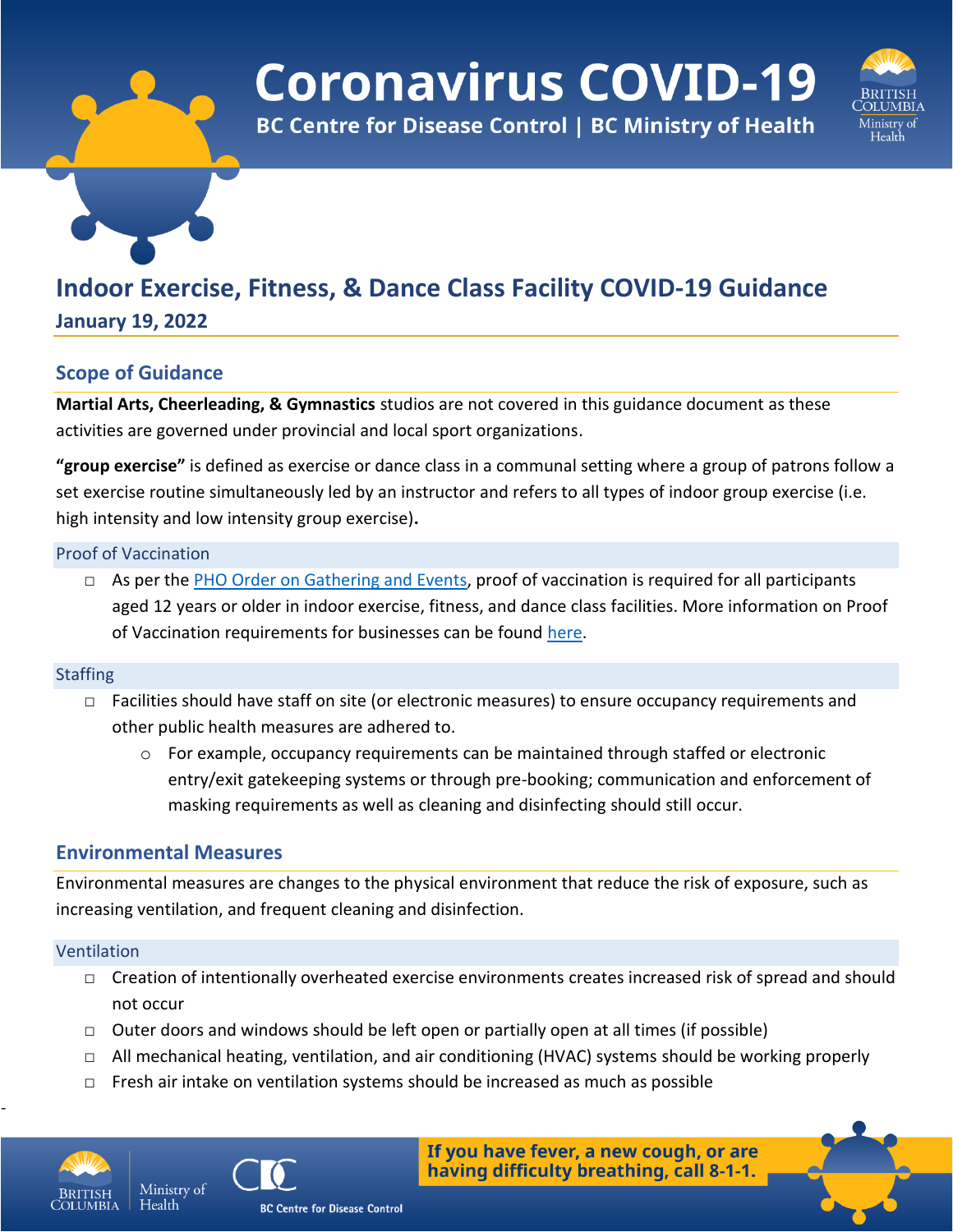# **Coronavirus COVID-19**

**BC Centre for Disease Control | BC Ministry of Health** 



# **Indoor Exercise, Fitness, & Dance Class Facility COVID-19 Guidance**

**January 19, 2022**

# **Scope of Guidance**

**Martial Arts, Cheerleading, & Gymnastics** studios are not covered in this guidance document as these activities are governed under provincial and local sport organizations.

**"group exercise"** is defined as exercise or dance class in a communal setting where a group of patrons follow a set exercise routine simultaneously led by an instructor and refers to all types of indoor group exercise (i.e. high intensity and low intensity group exercise)**.**

#### Proof of Vaccination

□ As per the [PHO Order on Gathering and Events,](https://www2.gov.bc.ca/assets/gov/health/about-bc-s-health-care-system/office-of-the-provincial-health-officer/covid-19/covid-19-pho-order-gatherings-events.pdf) proof of vaccination is required for all participants aged 12 years or older in indoor exercise, fitness, and dance class facilities. More information on Proof of Vaccination requirements for businesses can be found [here.](https://www2.gov.bc.ca/gov/content/covid-19/vaccine/proof/businesses)

#### **Staffing**

- □ Facilities should have staff on site (or electronic measures) to ensure occupancy requirements and other public health measures are adhered to.
	- $\circ$  For example, occupancy requirements can be maintained through staffed or electronic entry/exit gatekeeping systems or through pre-booking; communication and enforcement of masking requirements as well as cleaning and disinfecting should still occur.

## **Environmental Measures**

Ministry of

Environmental measures are changes to the physical environment that reduce the risk of exposure, such as increasing ventilation, and frequent cleaning and disinfection.

#### Ventilation

- □ Creation of intentionally overheated exercise environments creates increased risk of spread and should not occur
- $\Box$  Outer doors and windows should be left open or partially open at all times (if possible)
- $\Box$  All mechanical heating, ventilation, and air conditioning (HVAC) systems should be working properly
- $\Box$  Fresh air intake on ventilation systems should be increased as much as possible



-



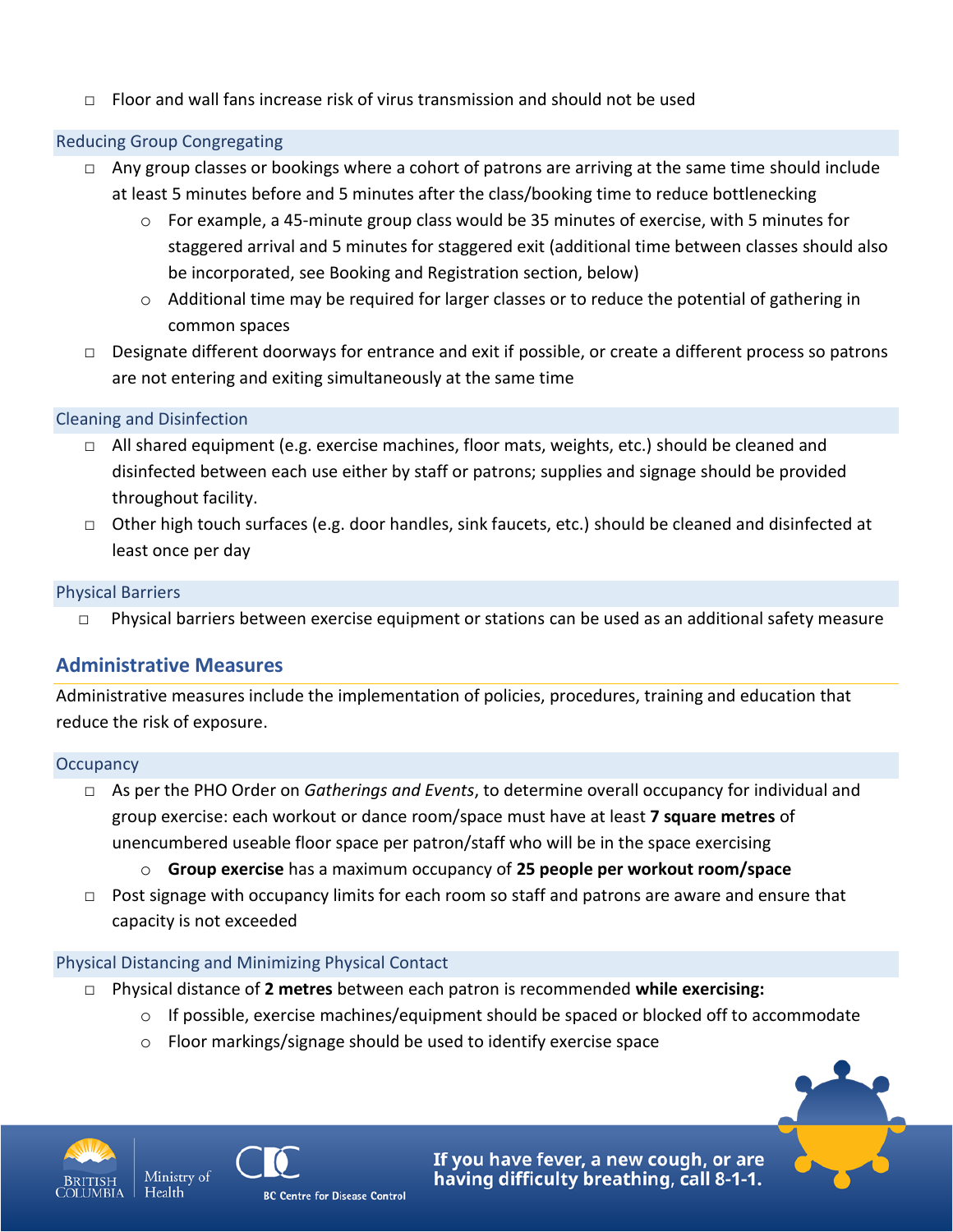$\Box$  Floor and wall fans increase risk of virus transmission and should not be used

#### Reducing Group Congregating

- $\Box$  Any group classes or bookings where a cohort of patrons are arriving at the same time should include at least 5 minutes before and 5 minutes after the class/booking time to reduce bottlenecking
	- $\circ$  For example, a 45-minute group class would be 35 minutes of exercise, with 5 minutes for staggered arrival and 5 minutes for staggered exit (additional time between classes should also be incorporated, see Booking and Registration section, below)
	- $\circ$  Additional time may be required for larger classes or to reduce the potential of gathering in common spaces
- $\Box$  Designate different doorways for entrance and exit if possible, or create a different process so patrons are not entering and exiting simultaneously at the same time

#### Cleaning and Disinfection

- $\Box$  All shared equipment (e.g. exercise machines, floor mats, weights, etc.) should be cleaned and disinfected between each use either by staff or patrons; supplies and signage should be provided throughout facility.
- $\Box$  Other high touch surfaces (e.g. door handles, sink faucets, etc.) should be cleaned and disinfected at least once per day

#### Physical Barriers

□ Physical barriers between exercise equipment or stations can be used as an additional safety measure

## **Administrative Measures**

Administrative measures include the implementation of policies, procedures, training and education that reduce the risk of exposure.

#### **Occupancy**

- □ As per the PHO Order on *Gatherings and Events*, to determine overall occupancy for individual and group exercise: each workout or dance room/space must have at least **7 square metres** of unencumbered useable floor space per patron/staff who will be in the space exercising
	- o **Group exercise** has a maximum occupancy of **25 people per workout room/space**
- $\Box$  Post signage with occupancy limits for each room so staff and patrons are aware and ensure that capacity is not exceeded

#### Physical Distancing and Minimizing Physical Contact

- □ Physical distance of **2 metres** between each patron is recommended **while exercising:**
	- $\circ$  If possible, exercise machines/equipment should be spaced or blocked off to accommodate
	- o Floor markings/signage should be used to identify exercise space



Health



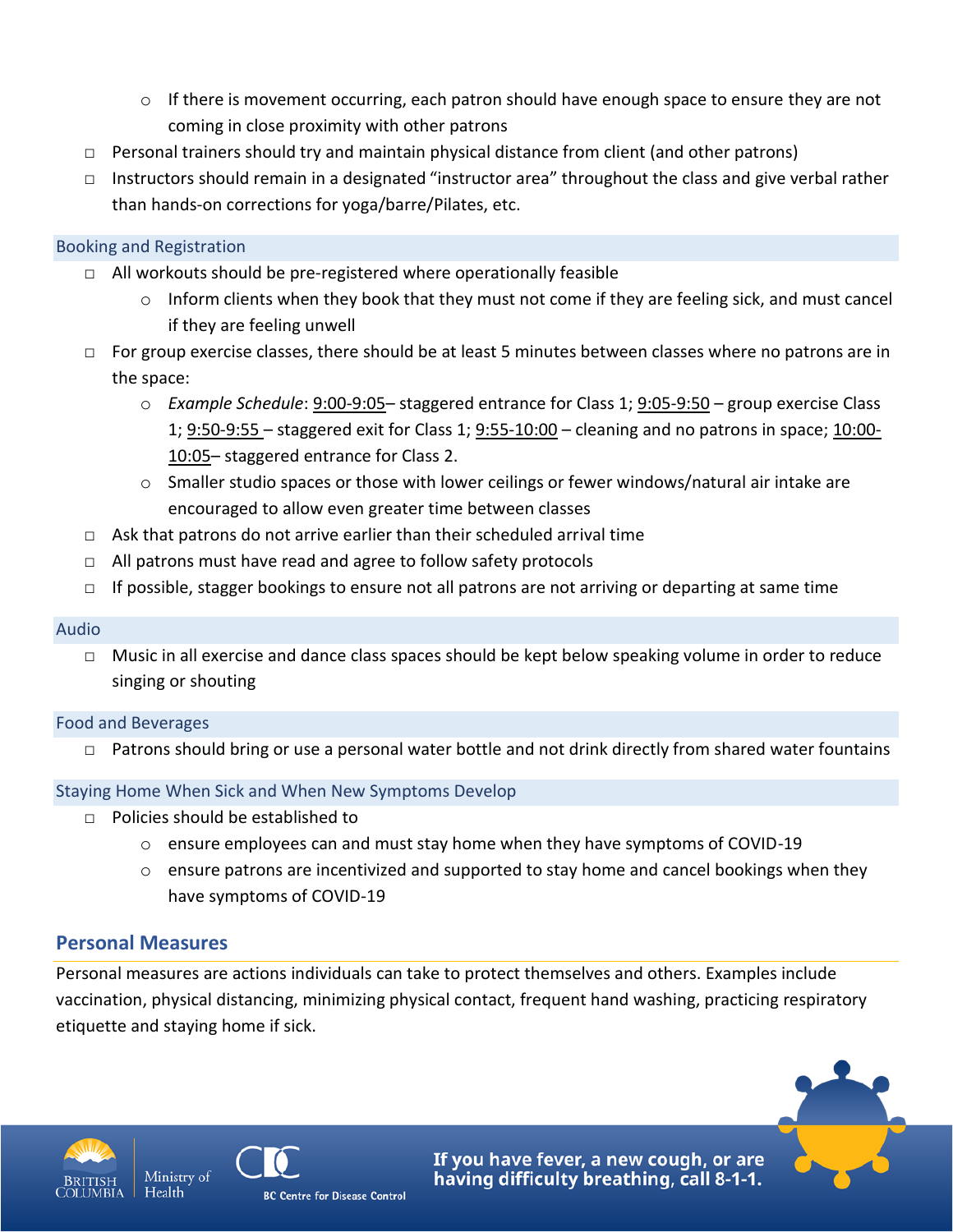- $\circ$  If there is movement occurring, each patron should have enough space to ensure they are not coming in close proximity with other patrons
- □ Personal trainers should try and maintain physical distance from client (and other patrons)
- □ Instructors should remain in a designated "instructor area" throughout the class and give verbal rather than hands-on corrections for yoga/barre/Pilates, etc.

#### Booking and Registration

- □ All workouts should be pre-registered where operationally feasible
	- $\circ$  Inform clients when they book that they must not come if they are feeling sick, and must cancel if they are feeling unwell
- $\Box$  For group exercise classes, there should be at least 5 minutes between classes where no patrons are in the space:
	- o *Example Schedule*: 9:00-9:05– staggered entrance for Class 1; 9:05-9:50 group exercise Class 1; 9:50-9:55 – staggered exit for Class 1; 9:55-10:00 – cleaning and no patrons in space; 10:00- 10:05– staggered entrance for Class 2.
	- $\circ$  Smaller studio spaces or those with lower ceilings or fewer windows/natural air intake are encouraged to allow even greater time between classes
- $\Box$  Ask that patrons do not arrive earlier than their scheduled arrival time
- □ All patrons must have read and agree to follow safety protocols
- $\Box$  If possible, stagger bookings to ensure not all patrons are not arriving or departing at same time

#### Audio

□ Music in all exercise and dance class spaces should be kept below speaking volume in order to reduce singing or shouting

#### Food and Beverages

□ Patrons should bring or use a personal water bottle and not drink directly from shared water fountains

#### Staying Home When Sick and When New Symptoms Develop

- $\Box$  Policies should be established to
	- $\circ$  ensure employees can and must stay home when they have symptoms of COVID-19
	- o ensure patrons are incentivized and supported to stay home and cancel bookings when they have symptoms of COVID-19

# **Personal Measures**

Personal measures are actions individuals can take to protect themselves and others. Examples include vaccination, physical distancing, minimizing physical contact, frequent hand washing, practicing respiratory etiquette and staying home if sick.